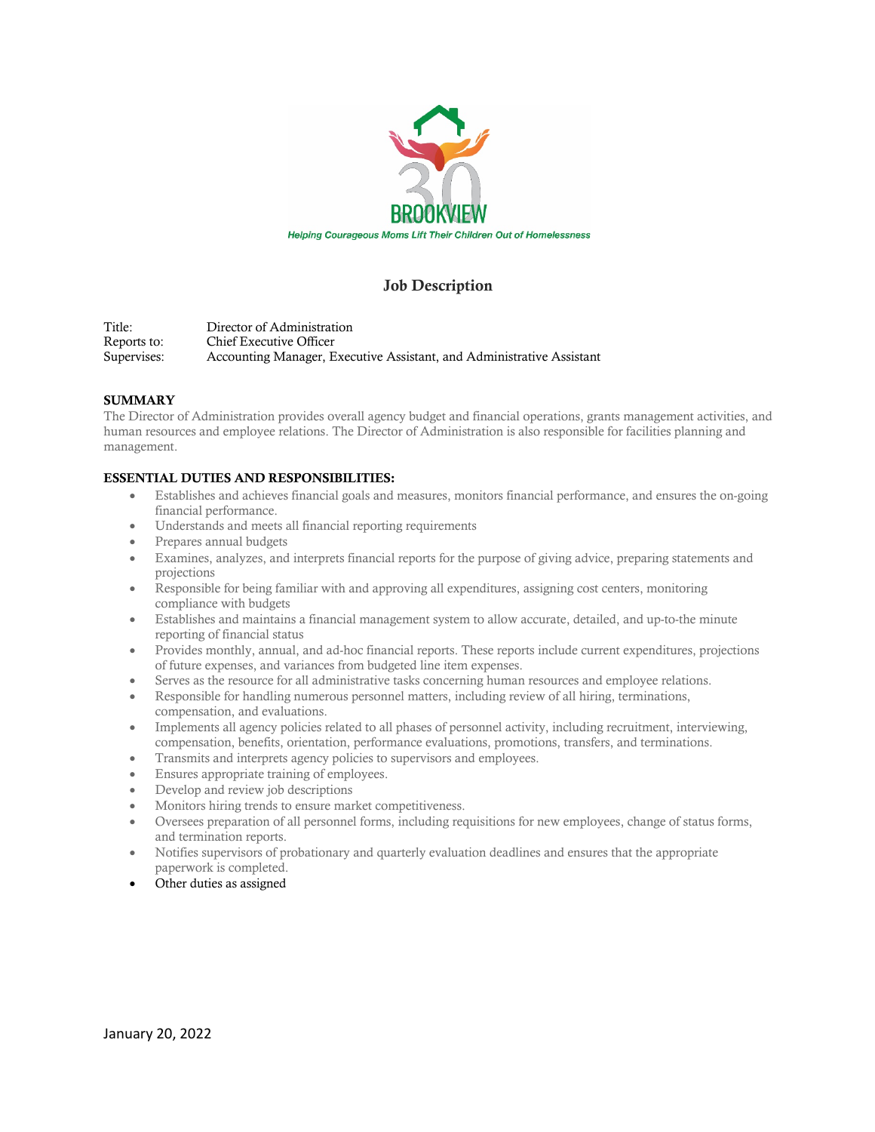

## Job Description

Title: Director of Administration Reports to: Chief Executive Officer<br>Supervises: Accounting Manager, E Accounting Manager, Executive Assistant, and Administrative Assistant

## **SUMMARY**

The Director of Administration provides overall agency budget and financial operations, grants management activities, and human resources and employee relations. The Director of Administration is also responsible for facilities planning and management.

## ESSENTIAL DUTIES AND RESPONSIBILITIES:

- Establishes and achieves financial goals and measures, monitors financial performance, and ensures the on-going financial performance.
- Understands and meets all financial reporting requirements
- Prepares annual budgets
- Examines, analyzes, and interprets financial reports for the purpose of giving advice, preparing statements and projections
- Responsible for being familiar with and approving all expenditures, assigning cost centers, monitoring compliance with budgets
- Establishes and maintains a financial management system to allow accurate, detailed, and up-to-the minute reporting of financial status
- Provides monthly, annual, and ad-hoc financial reports. These reports include current expenditures, projections of future expenses, and variances from budgeted line item expenses.
- Serves as the resource for all administrative tasks concerning human resources and employee relations.
- Responsible for handling numerous personnel matters, including review of all hiring, terminations, compensation, and evaluations.
- Implements all agency policies related to all phases of personnel activity, including recruitment, interviewing, compensation, benefits, orientation, performance evaluations, promotions, transfers, and terminations.
- Transmits and interprets agency policies to supervisors and employees.
- Ensures appropriate training of employees.
- Develop and review job descriptions
- Monitors hiring trends to ensure market competitiveness.
- Oversees preparation of all personnel forms, including requisitions for new employees, change of status forms, and termination reports.
- Notifies supervisors of probationary and quarterly evaluation deadlines and ensures that the appropriate paperwork is completed.
- Other duties as assigned